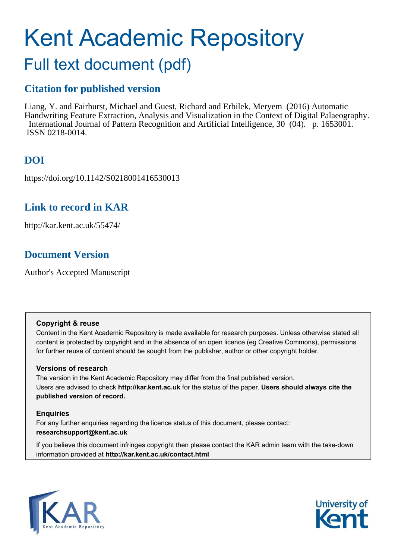# Kent Academic Repository

## Full text document (pdf)

## **Citation for published version**

Liang, Y. and Fairhurst, Michael and Guest, Richard and Erbilek, Meryem (2016) Automatic Handwriting Feature Extraction, Analysis and Visualization in the Context of Digital Palaeography. International Journal of Pattern Recognition and Artificial Intelligence, 30 (04). p. 1653001. ISSN 0218-0014.

## **DOI**

https://doi.org/10.1142/S0218001416530013

## **Link to record in KAR**

http://kar.kent.ac.uk/55474/

## **Document Version**

Author's Accepted Manuscript

#### **Copyright & reuse**

Content in the Kent Academic Repository is made available for research purposes. Unless otherwise stated all content is protected by copyright and in the absence of an open licence (eg Creative Commons), permissions for further reuse of content should be sought from the publisher, author or other copyright holder.

#### **Versions of research**

The version in the Kent Academic Repository may differ from the final published version. Users are advised to check **http://kar.kent.ac.uk** for the status of the paper. **Users should always cite the published version of record.**

#### **Enquiries**

For any further enquiries regarding the licence status of this document, please contact: **researchsupport@kent.ac.uk**

If you believe this document infringes copyright then please contact the KAR admin team with the take-down information provided at **http://kar.kent.ac.uk/contact.html**

<span id="page-0-0"></span>

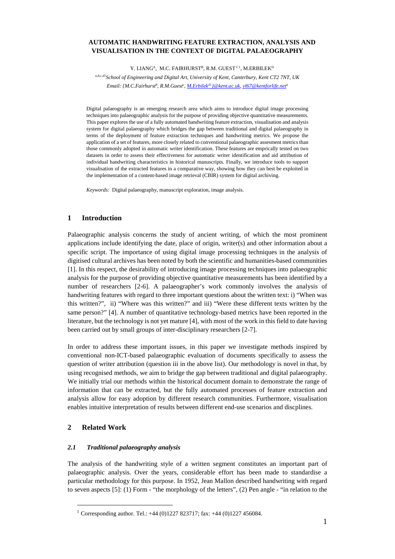#### **AUTOMATIC HANDWRITING FEATURE EXTRACTION, ANALYSIS AND VISUALISATION IN THE CONTEXT OF DIGITAL PALAEOGRAPHY**

Y. LIANG<sup>A</sup>, M.C. FAIRHURST<sup>B</sup>, R.M. GUEST<sup>C[1](#page-0-0)</sup>, M.ERBILEK<sup>D</sup>

*a,b,c,d1School of Engineering and Digital Art, University of Kent, Canterbury, Kent CT2 7NT, UK Email: {M.C.Fairhurst<sup>b</sup> , R.M.Guest<sup>c</sup> , M.Erbilekd1[}@kent.ac.uk,](mailto:M.Erbilekd1%7d@kent.ac.uk) [yl67@kentforlife.net](https://owa.connect.kent.ac.uk/OWA/redir.aspx?C=9jaD0uwbJUOpKaSbn0-ks1A-PQ02K9AI1aHkXO4MOpQ05t0d-O1e9B0j5s0qnLL5pv-u-b1pGB8.&URL=mailto%3ayl67%40kentforlife.net)<sup>a</sup>*

Digital palaeography is an emerging research area which aims to introduce digital image processing techniques into palaeographic analysis for the purpose of providing objective quantitative measurements. This paper explores the use of a fully automated handwriting feature extraction, visualisation and analysis system for digital palaeography which bridges the gap between traditional and digital palaeography in terms of the deployment of feature extraction techniques and handwriting metrics. We propose the application of a set of features, more closely related to conventional palaeographic assesment metrics than those commonly adopted in automatic writer identification. These features are emprically tested on two datasets in order to assess their effectiveness for automatic writer identification and aid attribution of individual handwriting characteristics in historical manuscripts. Finally, we introduce tools to support visualisation of the extracted features in a comparative way, showing how they can best be exploited in the implementation of a content-based image retrieval (CBIR) system for digital archiving.

<span id="page-1-0"></span>*Keywords:* Digital palaeography, manuscript exploration, image analysis.

#### **1 Introduction**

Palaeographic analysis concerns the study of ancient writing, of which the most prominent applications include identifying the date, place of origin, writer(s) and other information about a specific script. The importance of using digital image processing techniques in the analysis of digitised cultural archives has been noted by both the scientific and humanities-based communities [\[1\]](#page-20-0). In this respect, the desirability of introducing image processing techniques into palaeographic analysis for the purpose of providing objective quantitative measurements has been identified by a number of researchers [\[2-6\]](#page-20-1). A palaeographer's work commonly involves the analysis of handwriting features with regard to three important questions about the written text: i) "When was this written?", ii) "Where was this written?" and iii) "Were these different texts written by the same person?" [\[4\]](#page-20-2). A number of quantitative technology-based metrics have been reported in the literature, but the technology is not yet mature [\[4\]](#page-20-2), with most of the work in this field to date having been carried out by small groups of inter-disciplinary researchers [\[2-7\]](#page-20-1).

In order to address these important issues, in this paper we investigate methods inspired by conventional non-ICT-based palaeographic evaluation of documents specifically to assess the question of writer attribution (question iii in the above list). Our methodology is novel in that, by using recognised methods, we aim to bridge the gap between traditional and digital palaeography. We initially trial our methods within the historical document domain to demonstrate the range of information that can be extracted, but the fully automated processes of feature extraction and analysis allow for easy adoption by different research communities. Furthermore, visualisation enables intuitive interpretation of results between different end-use scenarios and discplines.

#### **2 Related Work**

-

#### *2.1 Traditional palaeography analysis*

The analysis of the handwriting style of a written segment constitutes an important part of palaeographic analysis. Over the years, considerable effort has been made to standardise a particular methodology for this purpose. In 1952, Jean Mallon described handwriting with regard to seven aspects [\[5\]](#page-20-3): (1) Form - "the morphology of the letters", (2) Pen angle - "in relation to the

<sup>&</sup>lt;sup>1</sup> Corresponding author. Tel.:  $+44$  (0)1227 823717; fax:  $+44$  (0)1227 456084.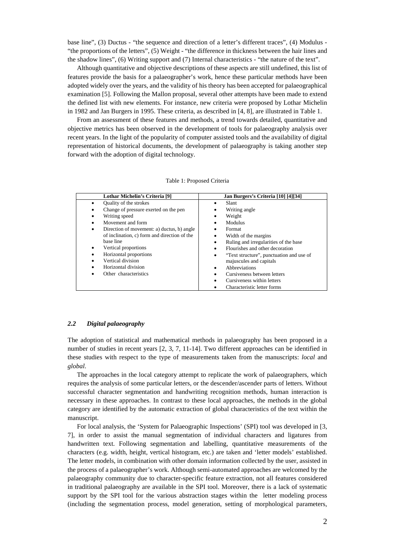base line", (3) Ductus - "the sequence and direction of a letter's different traces", (4) Modulus - "the proportions of the letters", (5) Weight - "the difference in thickness between the hair lines and the shadow lines", (6) Writing support and (7) Internal characteristics - "the nature of the text".

Although quantitative and objective descriptions of these aspects are still undefined, this list of features provide the basis for a palaeographer's work, hence these particular methods have been adopted widely over the years, and the validity of his theory has been accepted for palaeographical examination [\[5\]](#page-20-3). Following the Mallon proposal, several other attempts have been made to extend the defined list with new elements. For instance, new criteria were proposed by Lothar Michelin in 1982 and Jan Burgers in 1995. These criteria, as described in [\[4,](#page-20-2) [8\]](#page-20-4), are illustrated in [Table 1.](#page-1-0)

From an assessment of these features and methods, a trend towards detailed, quantitative and objective metrics has been observed in the development of tools for palaeography analysis over recent years. In the light of the popularity of computer assisted tools and the availability of digital representation of historical documents, the development of palaeography is taking another step forward with the adoption of digital technology.

| Lothar Michelin's Criteria [9]                  | Jan Burgers's Criteria [10] [4][34]           |  |  |  |  |
|-------------------------------------------------|-----------------------------------------------|--|--|--|--|
| Quality of the strokes                          | Slant                                         |  |  |  |  |
| Change of pressure exerted on the pen           | Writing angle                                 |  |  |  |  |
| Writing speed<br>٠                              | Weight                                        |  |  |  |  |
| Movement and form                               | Modulus                                       |  |  |  |  |
| Direction of movement: a) ductus, b) angle<br>٠ | Format                                        |  |  |  |  |
| of inclination, c) form and direction of the    | Width of the margins                          |  |  |  |  |
| base line                                       | Ruling and irregularities of the base<br>٠    |  |  |  |  |
| Vertical proportions<br>٠                       | Flourishes and other decoration               |  |  |  |  |
| Horizontal proportions                          | "Text structure", punctuation and use of<br>٠ |  |  |  |  |
| Vertical division                               | majuscules and capitals                       |  |  |  |  |
| Horizontal division                             | Abbreviations<br>٠                            |  |  |  |  |
| Other characteristics                           | Cursiveness between letters                   |  |  |  |  |
|                                                 | Cursiveness within letters                    |  |  |  |  |
|                                                 | Characteristic letter forms                   |  |  |  |  |

| Table 1: Proposed Criteria |
|----------------------------|
|                            |

#### *2.2 Digital palaeography*

The adoption of statistical and mathematical methods in palaeography has been proposed in a number of studies in recent years [\[2,](#page-20-1) [3,](#page-20-7) [7,](#page-20-8) [11-14\]](#page-20-9). Two different approaches can be identified in these studies with respect to the type of measurements taken from the manuscripts: *local* and *global*.

The approaches in the local category attempt to replicate the work of palaeographers, which requires the analysis of some particular letters, or the descender/ascender parts of letters. Without successful character segmentation and handwriting recognition methods, human interaction is necessary in these approaches. In contrast to these local approaches, the methods in the global category are identified by the automatic extraction of global characteristics of the text within the manuscript.

For local analysis, the 'System for Palaeographic Inspections' (SPI) tool was developed in [\[3,](#page-20-7) [7\]](#page-20-8), in order to assist the manual segmentation of individual characters and ligatures from handwritten text. Following segmentation and labelling, quantitative measurements of the characters (e.g. width, height, vertical histogram, etc.) are taken and 'letter models' established. The letter models, in combination with other domain information collected by the user, assisted in the process of a palaeographer's work. Although semi-automated approaches are welcomed by the palaeography community due to character-specific feature extraction, not all features considered in traditional palaeography are available in the SPI tool. Moreover, there is a lack of systematic support by the SPI tool for the various abstraction stages within the letter modeling process (including the segmentation process, model generation, setting of morphological parameters,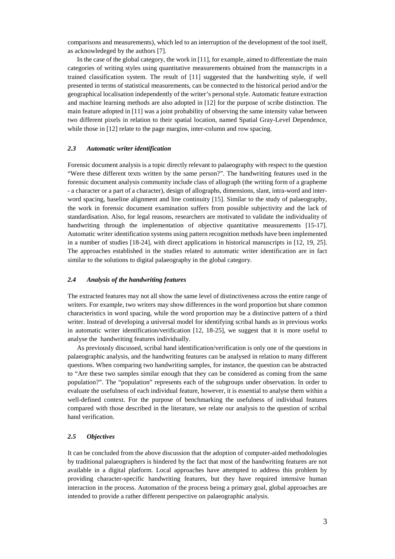comparisons and measurements), which led to an interruption of the development of the tool itself, as acknowledeged by the authors [\[7\]](#page-20-8).

In the case of the global category, the work in [\[11\]](#page-20-9), for example, aimed to differentiate the main categories of writing styles using quantitative measurements obtained from the manuscripts in a trained classification system. The result of [\[11\]](#page-20-9) suggested that the handwriting style, if well presented in terms of statistical measurements, can be connected to the historical period and/or the geographical localisation independently of the writer's personal style. Automatic feature extraction and machine learning methods are also adopted in [\[12\]](#page-20-10) for the purpose of scribe distinction. The main feature adopted in [\[11\]](#page-20-9) was a joint probability of observing the same intensity value between two different pixels in relation to their spatial location, named Spatial Gray-Level Dependence, while those in [\[12\]](#page-20-10) relate to the page margins, inter-column and row spacing.

#### *2.3 Automatic writer identification*

Forensic document analysis is a topic directly relevant to palaeography with respect to the question "Were these different texts written by the same person?". The handwriting features used in the forensic document analysis community include class of allograph (the writing form of a grapheme - a character or a part of a character), design of allographs, dimensions, slant, intra-word and interword spacing, baseline alignment and line continuity [\[15\]](#page-20-11). Similar to the study of palaeography, the work in forensic document examination suffers from possible subjectivity and the lack of standardisation. Also, for legal reasons, researchers are motivated to validate the individuality of handwriting through the implementation of objective quantitative measurements [\[15-17\]](#page-20-11). Automatic writer identification systems using pattern recognition methods have been implemented in a number of studies [\[18-24\]](#page-20-12), with direct applications in historical manuscripts in [\[12,](#page-20-10) [19,](#page-20-13) [25\]](#page-20-14). The approaches established in the studies related to automatic writer identification are in fact similar to the solutions to digital palaeography in the global category.

#### *2.4 Analysis of the handwriting features*

The extracted features may not all show the same level of distinctiveness across the entire range of writers. For example, two writers may show differences in the word proportion but share common characteristics in word spacing, while the word proportion may be a distinctive pattern of a third writer. Instead of developing a universal model for identifying scribal hands as in previous works in automatic writer identification/verification [\[12,](#page-20-10) [18-25\]](#page-20-12), we suggest that it is more useful to analyse the handwriting features individually.

As previously discussed, scribal hand identification/verification is only one of the questions in palaeographic analysis, and the handwriting features can be analysed in relation to many different questions. When comparing two handwriting samples, for instance, the question can be abstracted to "Are these two samples similar enough that they can be considered as coming from the same population?". The "population" represents each of the subgroups under observation. In order to evaluate the usefulness of each individual feature, however, it is essential to analyse them within a well-defined context. For the purpose of benchmarking the usefulness of individual features compared with those described in the literature, we relate our analysis to the question of scribal hand verification.

#### *2.5 Objectives*

It can be concluded from the above discussion that the adoption of computer-aided methodologies by traditional palaeographers is hindered by the fact that most of the handwriting features are not available in a digital platform. Local approaches have attempted to address this problem by providing character-specific handwriting features, but they have required intensive human interaction in the process. Automation of the process being a primary goal, global approaches are intended to provide a rather different perspective on palaeographic analysis.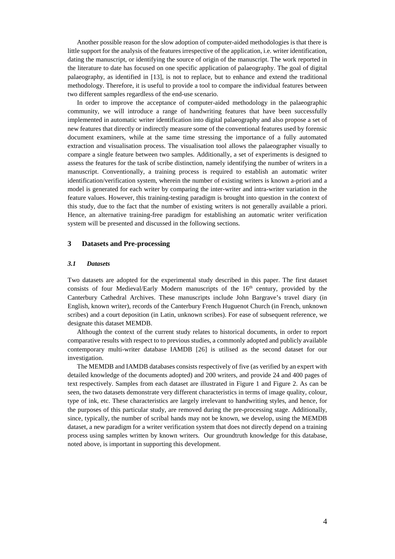Another possible reason for the slow adoption of computer-aided methodologies is that there is little support for the analysis of the features irrespective of the application, i.e. writer identification, dating the manuscript, or identifying the source of origin of the manuscript. The work reported in the literature to date has focused on one specific application of palaeography. The goal of digital palaeography, as identified in [\[13\]](#page-20-15), is not to replace, but to enhance and extend the traditional methodology. Therefore, it is useful to provide a tool to compare the individual features between two different samples regardless of the end-use scenario.

In order to improve the acceptance of computer-aided methodology in the palaeographic community, we will introduce a range of handwriting features that have been successfully implemented in automatic writer identification into digital palaeography and also propose a set of new features that directly or indirectly measure some of the conventional features used by forensic document examiners, while at the same time stressing the importance of a fully automated extraction and visualisation process. The visualisation tool allows the palaeographer visually to compare a single feature between two samples. Additionally, a set of experiments is designed to assess the features for the task of scribe distinction, namely identifying the number of writers in a manuscript. Conventionally, a training process is required to establish an automatic writer identification/verification system, wherein the number of existing writers is known a-priori and a model is generated for each writer by comparing the inter-writer and intra-writer variation in the feature values. However, this training-testing paradigm is brought into question in the context of this study, due to the fact that the number of existing writers is not generally available a priori. Hence, an alternative training-free paradigm for establishing an automatic writer verification system will be presented and discussed in the following sections.

#### **3 Datasets and Pre-processing**

#### *3.1 Datasets*

Two datasets are adopted for the experimental study described in this paper. The first dataset consists of four Medieval/Early Modern manuscripts of the  $16<sup>th</sup>$  century, provided by the Canterbury Cathedral Archives. These manuscripts include John Bargrave's travel diary (in English, known writer), records of the Canterbury French Huguenot Church (in French, unknown scribes) and a court deposition (in Latin, unknown scribes). For ease of subsequent reference, we designate this dataset MEMDB.

Although the context of the current study relates to historical documents, in order to report comparative results with respect to to previous studies, a commonly adopted and publicly available contemporary multi-writer database IAMDB [\[26\]](#page-21-0) is utilised as the second dataset for our investigation.

The MEMDB and IAMDB databases consists respectively of five (as verified by an expert with detailed knowledge of the documents adopted) and 200 writers, and provide 24 and 400 pages of text respectively. Samples from each dataset are illustrated in Figure 1 and Figure 2. As can be seen, the two datasets demonstrate very different characteristics in terms of image quality, colour, type of ink, etc. These characteristics are largely irrelevant to handwriting styles, and hence, for the purposes of this particular study, are removed during the pre-processing stage. Additionally, since, typically, the number of scribal hands may not be known, we develop, using the MEMDB dataset, a new paradigm for a writer verification system that does not directly depend on a training process using samples written by known writers. Our groundtruth knowledge for this database, noted above, is important in supporting this development.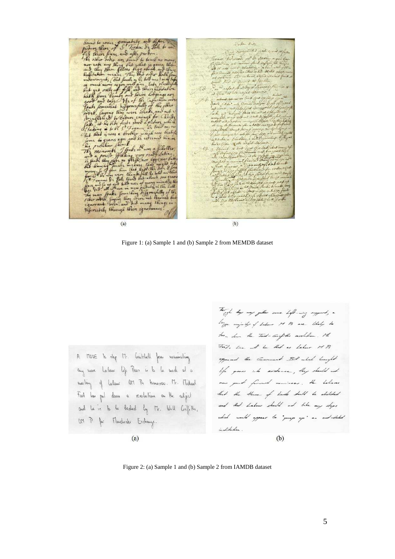<span id="page-5-0"></span> $\sim$  la c.s. momental week word all of he setermal his Jacke for thing different my things Siferestily through their ignorauses  $(b)$ 

 $(a)$ 

Figure 1: (a) Sample 1 and (b) Sample 2 from MEMDB dataset

A MOVE to the Mr. Gaithell from numering any more labour life Pear is to be made at a meeting of Labour OFT Ps tomorrow. Mr. Michael Foot las pel deva a revolution on the subject and he is to be bedud by The Will Giffith, OM P for Manduske Exchange.

 $(a)$ 

To get they may getter come left-way support , a large majnity of Labour M B are thely to town down the Tool- Grifthe resolution. The First's line with him that as habour M P. opponed the Comment Bit which bought life peace into evidence, blug should not now good forward movinees . He believes that the House of Ludo dull be abilided and that Labour should not take any ships which would appear to "prop up" an and-dated institution.

 $(b)$ 

Figure 2: (a) Sample 1 and (b) Sample 2 from IAMDB dataset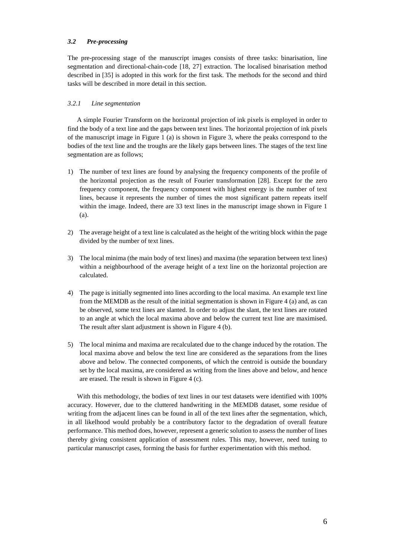#### *3.2 Pre-processing*

The pre-processing stage of the manuscript images consists of three tasks: binarisation, line segmentation and directional-chain-code [\[18,](#page-20-12) [27\]](#page-21-1) extraction. The localised binarisation method described in [35] is adopted in this work for the first task. The methods for the second and third tasks will be described in more detail in this section.

#### *3.2.1 Line segmentation*

A simple Fourier Transform on the horizontal projection of ink pixels is employed in order to find the body of a text line and the gaps between text lines. The horizontal projection of ink pixels of the manuscript image in Figure 1 (a) is shown in Figure 3, where the peaks correspond to the bodies of the text line and the troughs are the likely gaps between lines. The stages of the text line segmentation are as follows;

- 1) The number of text lines are found by analysing the frequency components of the profile of the horizontal projection as the result of Fourier transformation [\[28\]](#page-21-2). Except for the zero frequency component, the frequency component with highest energy is the number of text lines, because it represents the number of times the most significant pattern repeats itself within the image. Indeed, there are 33 text lines in the manuscript image shown in Figure 1 (a).
- 2) The average height of a text line is calculated as the height of the writing block within the page divided by the number of text lines.
- 3) The local minima (the main body of text lines) and maxima (the separation between text lines) within a neighbourhood of the average height of a text line on the horizontal projection are calculated.
- 4) The page is initially segmented into lines according to the local maxima. An example text line from the MEMDB as the result of the initial segmentation is shown in Figure 4 (a) and, as can be observed, some text lines are slanted. In order to adjust the slant, the text lines are rotated to an angle at which the local maxima above and below the current text line are maximised. The result after slant adjustment is shown in [Figure 4](#page-6-0) (b).
- 5) The local minima and maxima are recalculated due to the change induced by the rotation. The local maxima above and below the text line are considered as the separations from the lines above and below. The connected components, of which the centroid is outside the boundary set by the local maxima, are considered as writing from the lines above and below, and hence are erased. The result is shown in [Figure 4](#page-6-0) (c).

<span id="page-6-0"></span>With this methodology, the bodies of text lines in our test datasets were identified with 100% accuracy. However, due to the cluttered handwriting in the MEMDB dataset, some residue of writing from the adjacent lines can be found in all of the text lines after the segmentation, which, in all likelhood would probably be a contributory factor to the degradation of overall feature performance. This method does, however, represent a generic solution to assess the number of lines thereby giving consistent application of assessment rules. This may, however, need tuning to particular manuscript cases, forming the basis for further experimentation with this method.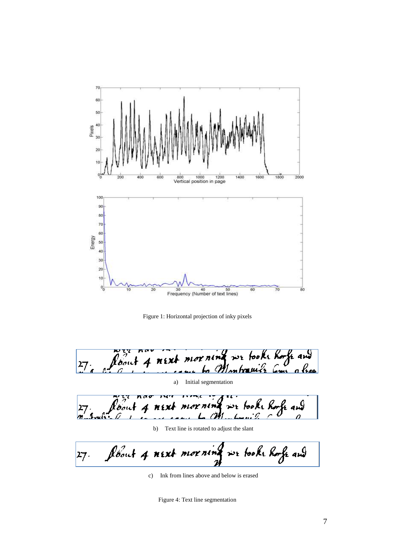

Figure 1: Horizontal projection of inky pixels

rening we tooke horfe and  $\ell$ pal  $M f X$  $\frac{27}{3}$ Montreals ho.

a) Initial segmentation

tooke horfe and  $\begin{array}{c} \n27 \\
\hline\nn-1\n\end{array}$ 

b) Text line is rotated to adjust the slant

flout 4 next morn we tooke horfe and  $|27 \cdot$ 

c) Ink from lines above and below is erased

Figure 4: Text line segmentation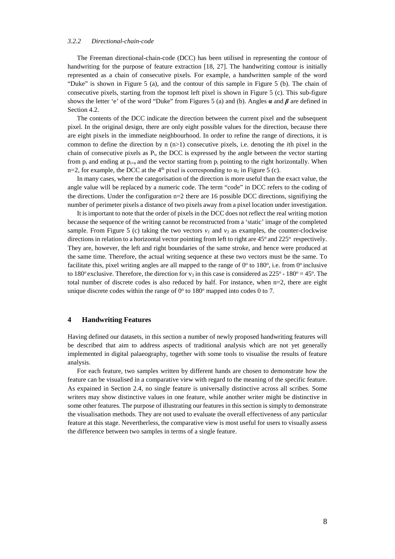#### *3.2.2 Directional-chain-code*

The Freeman directional-chain-code (DCC) has been utilised in representing the contour of handwriting for the purpose of feature extraction [\[18,](#page-20-12) [27\]](#page-21-1). The handwriting contour is initially represented as a chain of consecutive pixels. For example, a handwritten sample of the word "Duke" is shown in [Figure 5](#page-8-0) (a), and the contour of this sample in [Figure 5](#page-8-0) (b). The chain of consecutive pixels, starting from the topmost left pixel is shown in [Figure 5](#page-8-0) (c). This sub-figure shows the letter 'e' of the word "Duke" from Figures 5 (a) and (b). Angles  $\alpha$  and  $\beta$  are defined in Section 4.2.

The contents of the DCC indicate the direction between the current pixel and the subsequent pixel. In the original design, there are only eight possible values for the direction, because there are eight pixels in the immediate neighbourhood. In order to refine the range of directions, it is common to define the direction by n (n>1) consecutive pixels, i.e. denoting the *i*th pixel in the chain of consecutive pixels as  $P_i$ , the DCC is expressed by the angle between the vector starting from  $p_i$  and ending at  $p_{i+n}$  and the vector starting from  $p_i$  pointing to the right horizontally. When n=2, for example, the DCC at the 4<sup>th</sup> pixel is corresponding to  $\alpha_1$  in [Figure 5](#page-8-0) (c).

In many cases, where the categorisation of the direction is more useful than the exact value, the angle value will be replaced by a numeric code. The term "code" in DCC refers to the coding of the directions. Under the configuration  $n=2$  there are 16 possible DCC directions, signifiying the number of perimeter pixels a distance of two pixels away from a pixel location under investigation.

<span id="page-8-0"></span>It is important to note that the order of pixels in the DCC does not reflect the real writing motion because the sequence of the writing cannot be reconstructed from a 'static' image of the completed sample. From [Figure 5](#page-8-0) (c) taking the two vectors  $v<sub>l</sub>$  and  $v<sub>3</sub>$  as examples, the counter-clockwise directions in relation to a horizontal vector pointing from left to right are  $45^{\circ}$  and  $225^{\circ}$  respectively. They are, however, the left and right boundaries of the same stroke, and hence were produced at the same time. Therefore, the actual writing sequence at these two vectors must be the same. To facilitate this, pixel writing angles are all mapped to the range of  $0^\circ$  to  $180^\circ$ , i.e. from  $0^\circ$  inclusive to 180<sup>o</sup> exclusive. Therefore, the direction for  $v_3$  in this case is considered as  $225^{\circ}$  - 180<sup>o</sup> = 45<sup>o</sup>. The total number of discrete codes is also reduced by half. For instance, when n=2, there are eight unique discrete codes within the range of  $0^{\circ}$  to  $180^{\circ}$  mapped into codes 0 to 7.

#### **4 Handwriting Features**

Having defined our datasets, in this section a number of newly proposed handwriting features will be described that aim to address aspects of traditional analysis which are not yet generally implemented in digital palaeography, together with some tools to visualise the results of feature analysis.

For each feature, two samples written by different hands are chosen to demonstrate how the feature can be visualised in a comparative view with regard to the meaning of the specific feature. As expained in Section 2.4, no single feature is universally distinctive across all scribes. Some writers may show distinctive values in one feature, while another writer might be distinctive in some other features. The purpose of illustrating our features in this section is simply to demonstrate the visualisation methods. They are not used to evaluate the overall effectiveness of any particular feature at this stage. Nevertherless, the comparative view is most useful for users to visually assess the difference between two samples in terms of a single feature.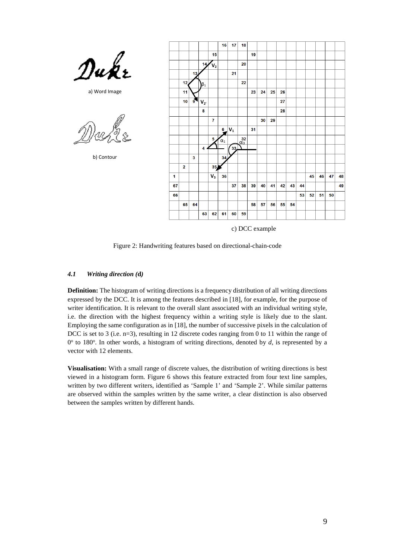

a) Word Image

b) Contour



c) DCC example

Figure 2: Handwriting features based on directional-chain-code

#### *4.1 Writing direction (***d***)*

**Definition:** The histogram of writing directions is a frequency distribution of all writing directions expressed by the DCC. It is among the features described in [\[18\]](#page-20-12), for example, for the purpose of writer identification. It is relevant to the overall slant associated with an individual writing style, i.e. the direction with the highest frequency within a writing style is likely due to the slant. Employing the same configuration as in [\[18\]](#page-20-12), the number of successive pixels in the calculation of DCC is set to 3 (i.e. n=3), resulting in 12 discrete codes ranging from 0 to 11 within the range of  $0^{\circ}$  to 180°. In other words, a histogram of writing directions, denoted by  $d$ , is represented by a vector with 12 elements.

**Visualisation:** With a small range of discrete values, the distribution of writing directions is best viewed in a histogram form. Figure 6 shows this feature extracted from four text line samples, written by two different writers, identified as 'Sample 1' and 'Sample 2'. While similar patterns are observed within the samples written by the same writer, a clear distinction is also observed between the samples written by different hands.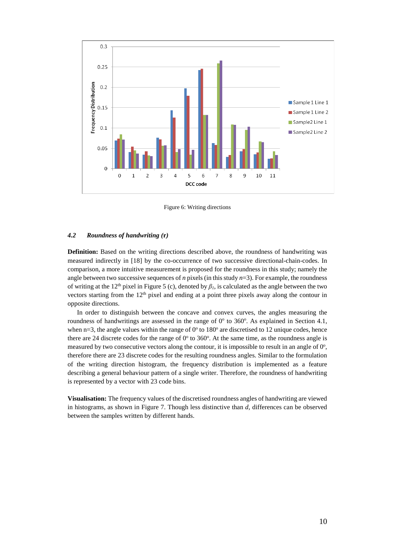

Figure 6: Writing directions

#### *4.2 Roundness of handwriting (***r***)*

**Definition:** Based on the writing directions described above, the roundness of handwriting was measured indirectly in [\[18\]](#page-20-12) by the co-occurrence of two successive directional-chain-codes. In comparison, a more intuitive measurement is proposed for the roundness in this study; namely the angle between two successive sequences of *n* pixels (in this study  $n=3$ ). For example, the roundness of writing at the 12<sup>th</sup> pixel in [Figure 5 \(](#page-8-0)c), denoted by  $\beta_l$ , is calculated as the angle between the two vectors starting from the 12<sup>th</sup> pixel and ending at a point three pixels away along the contour in opposite directions.

In order to distinguish between the concave and convex curves, the angles measuring the roundness of handwritings are assessed in the range of  $0^\circ$  to 360°. As explained in Section 4.1, when  $n=3$ , the angle values within the range of  $0^{\circ}$  to 180° are discretised to 12 unique codes, hence there are 24 discrete codes for the range of  $0^{\circ}$  to 360°. At the same time, as the roundness angle is measured by two consecutive vectors along the contour, it is impossible to result in an angle of 0°, therefore there are 23 discrete codes for the resulting roundness angles. Similar to the formulation of the writing direction histogram, the frequency distribution is implemented as a feature describing a general behaviour pattern of a single writer. Therefore, the roundness of handwriting is represented by a vector with 23 code bins.

**Visualisation:** The frequency values of the discretised roundness angles of handwriting are viewed in histograms, as shown in Figure 7. Though less distinctive than *d*, differences can be observed between the samples written by different hands.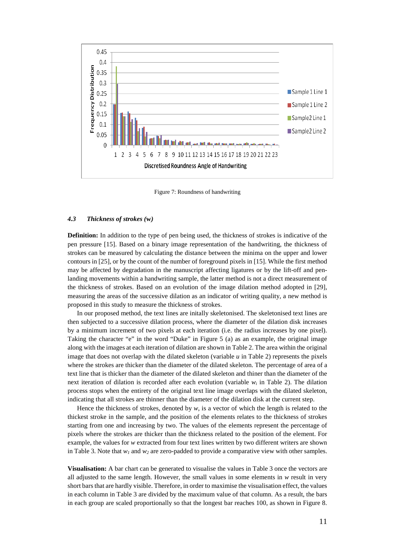<span id="page-11-0"></span>

Figure 7: Roundness of handwriting

#### <span id="page-11-1"></span>*4.3 Thickness of strokes (***w***)*

**Definition:** In addition to the type of pen being used, the thickness of strokes is indicative of the pen pressure [\[15\]](#page-20-11). Based on a binary image representation of the handwriting, the thickness of strokes can be measured by calculating the distance between the minima on the upper and lower contours in [\[25\]](#page-20-14), or by the count of the number of foreground pixels in [\[15\]](#page-20-11). While the first method may be affected by degradation in the manuscript affecting ligatures or by the lift-off and penlanding movements within a handwriting sample, the latter method is not a direct measurement of the thickness of strokes. Based on an evolution of the image dilation method adopted in [\[29\]](#page-21-3), measuring the areas of the successive dilation as an indicator of writing quality, a new method is proposed in this study to measure the thickness of strokes.

In our proposed method, the text lines are initally skeletonised. The skeletonised text lines are then subjected to a successive dilation process, where the diameter of the dilation disk increases by a minimum increment of two pixels at each iteration (i.e. the radius increases by one pixel). Taking the character "e" in the word "Duke" in [Figure 5](#page-8-0) (a) as an example, the original image along with the images at each iteration of dilation are shown i[n Table 2.](#page-11-0) The area within the original image that does not overlap with the dilated skeleton (variable *u* in [Table 2\)](#page-11-0) represents the pixels where the strokes are thicker than the diameter of the dilated skeleton. The percentage of area of a text line that is thicker than the diameter of the dilated skeleton and thiner than the diameter of the next iteration of dilation is recorded after each evolution (variable *w<sup>i</sup>* in [Table 2\)](#page-11-0). The dilation process stops when the entirety of the original text line image overlaps with the dilated skeleton, indicating that all strokes are thinner than the diameter of the dilation disk at the current step.

Hence the thickness of strokes, denoted by  $w$ , is a vector of which the length is related to the thickest stroke in the sample, and the position of the elements relates to the thickness of strokes starting from one and increasing by two. The values of the elements represent the percentage of pixels where the strokes are thicker than the thickness related to the position of the element. For example, the values for *w* extracted from four text lines written by two different writers are shown in [Table 3.](#page-11-1) Note that *w<sup>1</sup>* and *w<sup>2</sup>* are zero-padded to provide a comparative view with other samples.

**Visualisation:** A bar chart can be generated to visualise the values in [Table 3](#page-11-1) once the vectors are all adjusted to the same length. However, the small values in some elements in *w* result in very short bars that are hardly visible. Therefore, in order to maximise the visualisation effect, the values in each column in [Table 3](#page-11-1) are divided by the maximum value of that column. As a result, the bars in each group are scaled proportionally so that the longest bar reaches 100, as shown in [Figure 8](#page-12-0).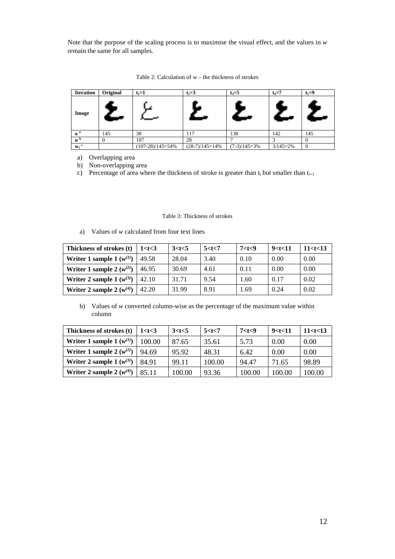Note that the purpose of the scaling process is to maximise the visual effect, and the values in *w* remain the same for all samples.

| <b>Iteration</b>          | Original | $t_1 = 1$          | $t_2 = 3$        | $t_3 = 5$      | $t_4 = 7$    | $t_5 = 9$ |
|---------------------------|----------|--------------------|------------------|----------------|--------------|-----------|
| Image                     |          |                    |                  |                | $\leftarrow$ |           |
| 0 <sup>a</sup>            | 145      | 38                 | 117              | 138            | 142          | 145       |
| $\mathbf{u}^{\mathbf{b}}$ |          | 107                | 28               |                |              |           |
| $W_i$ <sup>c</sup>        |          | $(107-28)/145=54%$ | $(28-7)/145=14%$ | $(7-3)/145=3%$ | $3/145=2%$   | $\theta$  |

Table 2: Calculation of *w –* the thickness of strokes

a) Overlapping area

b) Non-overlapping area

<span id="page-12-0"></span>c) Percentage of area where the thickness of stroke is greater than  $t_i$  but smaller than  $t_{i+1}$ 

Table 3: Thickness of strokes

a) Values of *w* calculated from four text lines

| Thickness of strokes (t)      | 1 < t < 3 | 3 < t < 5 | 5 < t < 7 | 7 < t < 9 | 9 < t < 11 | 11 < t < 13 |
|-------------------------------|-----------|-----------|-----------|-----------|------------|-------------|
| Writer 1 sample 1 $(w^{(1)})$ | 49.58     | 28.04     | 3.40      | 0.10      | 0.00       | 0.00        |
| Writer 1 sample 2 $(w^{(2)})$ | 46.95     | 30.69     | 4.61      | 0.11      | 0.00       | 0.00        |
| Writer 2 sample $1(w^{(3)})$  | 42.10     | 31.71     | 9.54      | 1.60      | 0.17       | 0.02        |
| Writer 2 sample 2 $(w^{(4)})$ | 42.20     | 31.99     | 8.91      | 1.69      | 0.24       | 0.02        |

b) Values of *w* converted column-wise as the percentage of the maximum value within column

<span id="page-12-1"></span>

| Thickness of strokes (t)      | 1 < t < 3 | 3 < t < 5 | 5 < t < 7 | 7 < t < 9 | 9 < t < 11 | 11 < t < 13 |
|-------------------------------|-----------|-----------|-----------|-----------|------------|-------------|
| Writer 1 sample 1 $(w^{(1)})$ | 100.00    | 87.65     | 35.61     | 5.73      | 0.00       | 0.00        |
| Writer 1 sample 2 $(w^{(2)})$ | 94.69     | 95.92     | 48.31     | 6.42      | 0.00       | 0.00        |
| Writer 2 sample 1 $(w^{(3)})$ | 84.91     | 99.11     | 100.00    | 94.47     | 71.65      | 98.89       |
| Writer 2 sample 2 $(w^{(4)})$ | 85.11     | 100.00    | 93.36     | 100.00    | 100.00     | 100.00      |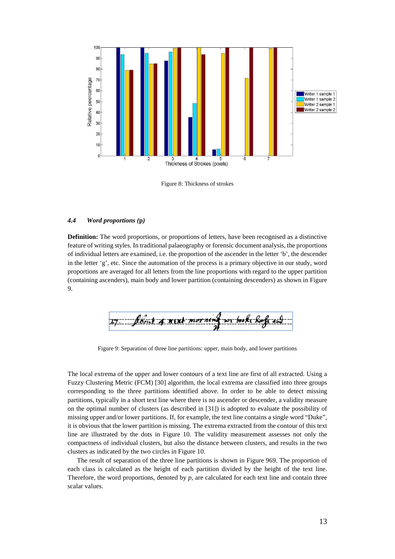<span id="page-13-0"></span>

Figure 8: Thickness of strokes

#### *4.4 Word proportions (***p***)*

**Definition:** The word proportions, or proportions of letters, have been recognised as a distinctive feature of writing styles. In traditional palaeography or forensic document analysis, the proportions of individual letters are examined, i.e. the proportion of the ascender in the letter 'b', the descender in the letter 'g', etc. Since the automation of the process is a primary objective in our study, word proportions are averaged for all letters from the line proportions with regard to the upper partition (containing ascenders), main body and lower partition (containing descenders) as shown in Figure 9.

Figure 9: Separation of three line partitions: upper, main body, and lower partitions

<span id="page-13-1"></span>The local extrema of the upper and lower contours of a text line are first of all extracted. Using a Fuzzy Clustering Metric (FCM) [\[30\]](#page-21-4) algorithm, the local extrema are classified into three groups corresponding to the three partitions identified above. In order to be able to detect missing partitions, typically in a short text line where there is no ascender or descender, a validity measure on the optimal number of clusters (as described in [\[31\]](#page-21-5)) is adopted to evaluate the possibility of missing upper and/or lower partitions. If, for example, the text line contains a single word "Duke", it is obvious that the lower partition is missing. The extrema extracted from the contour of this text line are illustrated by the dots in Figure 10. The validity measurement assesses not only the compactness of individual clusters, but also the distance between clusters, and results in the two clusters as indicated by the two circles in [Figure](#page-13-0) 10.

The result of separation of the three line partitions is shown in [Figure 969](#page-12-1). The proportion of each class is calculated as the height of each partition divided by the height of the text line. Therefore, the word proportions, denoted by *p*, are calculated for each text line and contain three scalar values.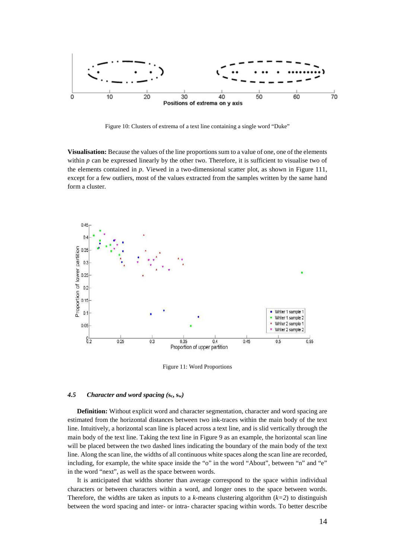

Figure 10: Clusters of extrema of a text line containing a single word "Duke"

**Visualisation:** Because the values of the line proportions sum to a value of one, one of the elements within  $p$  can be expressed linearly by the other two. Therefore, it is sufficient to visualise two of the elements contained in *p*. Viewed in a two-dimensional scatter plot, as shown in [Figure 111](#page-13-1), except for a few outliers, most of the values extracted from the samples written by the same hand form a cluster.



Figure 11: Word Proportions

#### *4.5 Character and word spacing (***sc, sw***)*

**Definition:** Without explicit word and character segmentation, character and word spacing are estimated from the horizontal distances between two ink-traces within the main body of the text line. Intuitively, a horizontal scan line is placed across a text line, and is slid vertically through the main body of the text line. Taking the text line in Figure 9 as an example, the horizontal scan line will be placed between the two dashed lines indicating the boundary of the main body of the text line. Along the scan line, the widths of all continuous white spaces along the scan line are recorded, including, for example, the white space inside the "o" in the word "About", between "n" and "e" in the word "next", as well as the space between words.

It is anticipated that widths shorter than average correspond to the space within individual characters or between characters within a word, and longer ones to the space between words. Therefore, the widths are taken as inputs to a *k*-means clustering algorithm  $(k=2)$  to distinguish between the word spacing and inter- or intra- character spacing within words. To better describe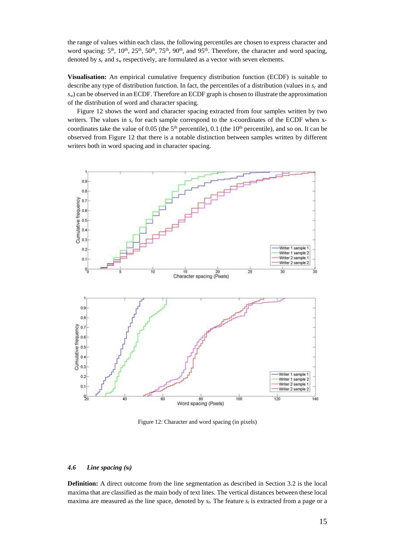the range of values within each class, the following percentiles are chosen to express character and word spacing: 5<sup>th</sup>, 10<sup>th</sup>, 25<sup>th</sup>, 50<sup>th</sup>, 75<sup>th</sup>, 90<sup>th</sup>, and 95<sup>th</sup>. Therefore, the character and word spacing, denoted by  $s_c$  and  $s_w$  respectively, are formulated as a vector with seven elements.

**Visualisation:** An empirical cumulative frequency distribution function (ECDF) is suitable to describe any type of distribution function. In fact, the percentiles of a distribution (values in *s<sup>c</sup>* and *sw*) can be observed in an ECDF. Therefore an ECDF graph is chosen to illustrate the approximation of the distribution of word and character spacing.

Figure 12 shows the word and character spacing extracted from four samples written by two writers. The values in  $s_c$  for each sample correspond to the x-coordinates of the ECDF when xcoordinates take the value of 0.05 (the  $5<sup>th</sup>$  percentile), 0.1 (the  $10<sup>th</sup>$  percentile), and so on. It can be observed from Figure 12 that there is a notable distinction between samples written by different writers both in word spacing and in character spacing.



Figure 12: Character and word spacing (in pixels)

#### *4.6 Line spacing (***sl***)*

**Definition:** A direct outcome from the line segmentation as described in Section [3.2](#page-5-0) is the local maxima that are classified as the main body of text lines. The vertical distances between these local maxima are measured as the line space, denoted by  $s_l$ . The feature  $s_l$  is extracted from a page or a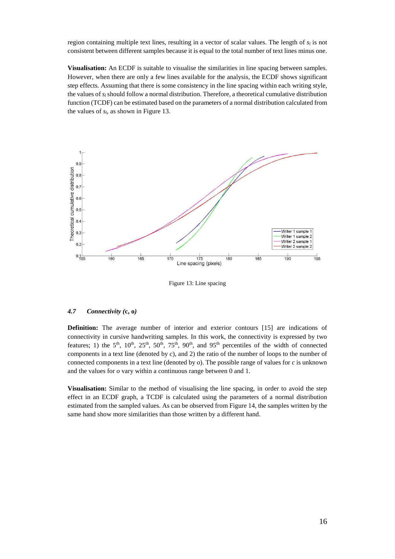region containing multiple text lines, resulting in a vector of scalar values. The length of  $s_i$  is not consistent between different samples because it is equal to the total number of text lines minus one.

**Visualisation:** An ECDF is suitable to visualise the similarities in line spacing between samples. However, when there are only a few lines available for the analysis, the ECDF shows significant step effects. Assuming that there is some consistency in the line spacing within each writing style, the values of  $s_l$  should follow a normal distribution. Therefore, a theoretical cumulative distribution function (TCDF) can be estimated based on the parameters of a normal distribution calculated from the values of *sl*, as shown in Figure 13.



Figure 13: Line spacing

#### *4.7 Connectivity (***c, o***)*

**Definition:** The average number of interior and exterior contours [\[15\]](#page-20-11) are indications of connectivity in cursive handwriting samples. In this work, the connectivity is expressed by two features; 1) the  $5<sup>th</sup>$ ,  $10<sup>th</sup>$ ,  $25<sup>th</sup>$ ,  $50<sup>th</sup>$ ,  $75<sup>th</sup>$ ,  $90<sup>th</sup>$ , and  $95<sup>th</sup>$  percentiles of the width of connected components in a text line (denoted by *c*), and 2) the ratio of the number of loops to the number of connected components in a text line (denoted by *o*). The possible range of values for *c* is unknown and the values for *o* vary within a continuous range between 0 and 1.

<span id="page-16-0"></span>**Visualisation:** Similar to the method of visualising the line spacing, in order to avoid the step effect in an ECDF graph, a TCDF is calculated using the parameters of a normal distribution estimated from the sampled values. As can be observed from Figure 14, the samples written by the same hand show more similarities than those written by a different hand.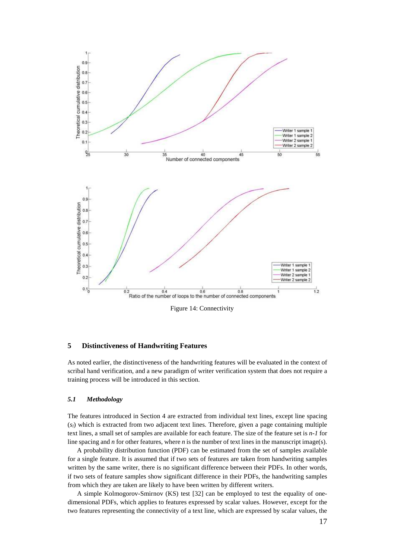

Figure 14: Connectivity

#### **5 Distinctiveness of Handwriting Features**

As noted earlier, the distinctiveness of the handwriting features will be evaluated in the context of scribal hand verification, and a new paradigm of writer verification system that does not require a training process will be introduced in this section.

#### *5.1 Methodology*

The features introduced in Section 4 are extracted from individual text lines, except line spacing (*sl*) which is extracted from two adjacent text lines. Therefore, given a page containing multiple text lines, a small set of samples are available for each feature. The size of the feature set is *n-1* for line spacing and *n* for other features, where *n* is the number of text lines in the manuscript image(s).

A probability distribution function (PDF) can be estimated from the set of samples available for a single feature. It is assumed that if two sets of features are taken from handwriting samples written by the same writer, there is no significant difference between their PDFs. In other words, if two sets of feature samples show significant difference in their PDFs, the handwriting samples from which they are taken are likely to have been written by different writers.

A simple Kolmogorov-Smirnov (KS) test [\[32\]](#page-21-6) can be employed to test the equality of onedimensional PDFs, which applies to features expressed by scalar values. However, except for the two features representing the connectivity of a text line, which are expressed by scalar values, the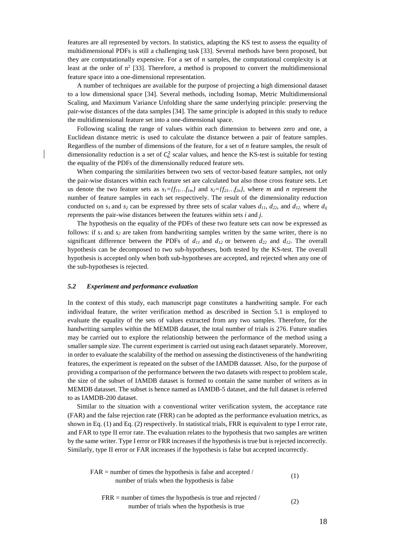features are all represented by vectors. In statistics, adapting the KS test to assess the equality of multidimensional PDFs is still a challenging task [\[33\]](#page-21-7). Several methods have been proposed, but they are computationally expensive. For a set of *n* samples, the computational complexity is at least at the order of  $n^2$  [\[33\]](#page-21-7). Therefore, a method is proposed to convert the multidimensional feature space into a one-dimensional representation.

A number of techniques are available for the purpose of projecting a high dimensional dataset to a low dimensional space [\[34\]](#page-21-8). Several methods, including Isomap, Metric Multidimensional Scaling, and Maximum Variance Unfolding share the same underlying principle: preserving the pair-wise distances of the data samples [\[34\]](#page-21-8). The same principle is adopted in this study to reduce the multidimensional feature set into a one-dimensional space.

Following scaling the range of values within each dimension to between zero and one, a Euclidean distance metric is used to calculate the distance between a pair of feature samples. Regardless of the number of dimensions of the feature, for a set of *n* feature samples, the result of dimensionality reduction is a set of  $C_n^2$  scalar values, and hence the KS-test is suitable for testing the equality of the PDFs of the dimensionally reduced feature sets.

When comparing the similarities between two sets of vector-based feature samples, not only the pair-wise distances within each feature set are calculated but also those cross feature sets. Let us denote the two feature sets as  $s_I = \{f_{I,I} \ldots f_{Im}\}\$  and  $s_2 = \{f_{2I} \ldots f_{2n}\}\$ , where *m* and *n* represent the number of feature samples in each set respectively. The result of the dimensionality reduction conducted on  $s_1$  and  $s_2$  can be expressed by three sets of scalar values  $d_{11}$ ,  $d_{22}$ , and  $d_{12}$ , where  $d_{ii}$ represents the pair-wise distances between the features within sets *i* and *j*.

The hypothesis on the equality of the PDFs of these two feature sets can now be expressed as follows: if  $s<sub>l</sub>$  and  $s<sub>2</sub>$  are taken from handwriting samples written by the same writer, there is no significant difference between the PDFs of  $d_{11}$  and  $d_{12}$  or between  $d_{22}$  and  $d_{12}$ . The overall hypothesis can be decomposed to two sub-hypotheses, both tested by the KS-test. The overall hypothesis is accepted only when both sub-hypotheses are accepted, and rejected when any one of the sub-hypotheses is rejected.

#### *5.2 Experiment and performance evaluation*

In the context of this study, each manuscript page constitutes a handwriting sample. For each individual feature, the writer verification method as described in Section [5.1](#page-16-0) is employed to evaluate the equality of the sets of values extracted from any two samples. Therefore, for the handwriting samples within the MEMDB dataset, the total number of trials is 276. Future studies may be carried out to explore the relationship between the performance of the method using a smaller sample size. The current experiment is carried out using each dataset separately. Moreover, in order to evaluate the scalability of the method on assessing the distinctiveness of the handwriting features, the experiment is repeated on the subset of the IAMDB datasset. Also, for the purpose of providing a comparison of the performance between the two datasets with respect to problem scale, the size of the subset of IAMDB dataset is formed to contain the same number of writers as in MEMDB datasset. The subset is hence named as IAMDB-5 dataset, and the full dataset is referred to as IAMDB-200 dataset.

Similar to the situation with a conventional writer verification system, the acceptance rate (FAR) and the false rejection rate (FRR) can be adopted as the performance evaluation metrics, as shown in Eq. (1) and Eq. (2) respectively. In statistical trials, FRR is equivalent to type I error rate, and FAR to type II error rate. The evaluation relates to the hypothesis that two samples are written by the same writer. Type I error or FRR increases if the hypothesis is true but is rejected incorrectly. Similarly, type II error or FAR increases if the hypothesis is false but accepted incorrectly.

| $FAR$ = number of times the hypothesis is false and accepted / | (1)    |
|----------------------------------------------------------------|--------|
| number of trials when the hypothesis is false                  |        |
| $FRR$ = number of times the hypothesis is true and rejected /  |        |
|                                                                | $\sim$ |

number of trials when the hypothesis is true

(2)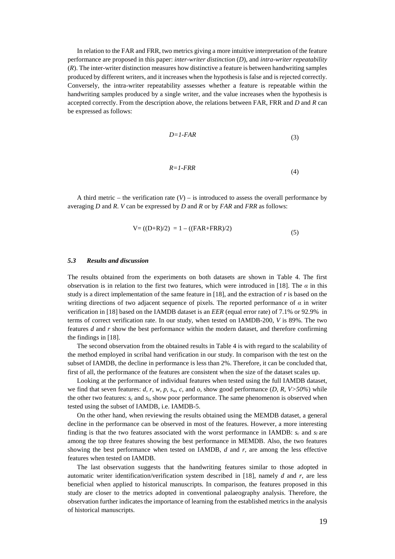<span id="page-19-0"></span>In relation to the FAR and FRR, two metrics giving a more intuitive interpretation of the feature performance are proposed in this paper: *inter-writer distinction* (*D*), and *intra-writer repeatability* (*R*). The inter-writer distinction measures how distinctive a feature is between handwriting samples produced by different writers, and it increases when the hypothesis is false and is rejected correctly. Conversely, the intra-writer repeatability assesses whether a feature is repeatable within the handwriting samples produced by a single writer, and the value increases when the hypothesis is accepted correctly. From the description above, the relations between FAR, FRR and *D* and *R* can be expressed as follows:

$$
D = I - FAR \tag{3}
$$

$$
R = 1 - FRR \tag{4}
$$

A third metric – the verification rate  $(V)$  – is introduced to assess the overall performance by averaging *D* and *R*. *V* can be expressed by *D* and *R* or by *FAR* and *FRR* as follows:

$$
V = ((D+R)/2) = 1 - ((FAR + FRR)/2)
$$
\n(5)

#### *5.3 Results and discussion*

The results obtained from the experiments on both datasets are shown in [Table 4.](#page-19-0) The first observation is in relation to the first two features, which were introduced in [\[18\]](#page-20-12). The  $\alpha$  in this study is a direct implementation of the same feature in [\[18\]](#page-20-12), and the extraction of *r* is based on the writing directions of two adjacent sequence of pixels. The reported performance of  $\alpha$  in writer verification in [\[18\]](#page-20-12) based on the IAMDB dataset is an *EER* (equal error rate) of 7.1% or 92.9% in terms of correct verification rate. In our study, when tested on IAMDB-200, *V* is 89%. The two features *d* and *r* show the best performance within the modern dataset, and therefore confirming the findings in [\[18\]](#page-20-12).

The second observation from the obtained results in [Table 4](#page-19-0) is with regard to the scalability of the method employed in scribal hand verification in our study. In comparison with the test on the subset of IAMDB, the decline in performance is less than 2%. Therefore, it can be concluded that, first of all, the performance of the features are consistent when the size of the dataset scales up.

Looking at the performance of individual features when tested using the full IAMDB dataset, we find that seven features: *d, r, w, p, s<sub><i>w*</sub></sub>, c, and *o*, show good performance  $(D, R, V > 50\%)$  while the other two features:  $s_c$  and  $s_b$  show poor performance. The same phenomenon is observed when tested using the subset of IAMDB, i.e. IAMDB-5.

On the other hand, when reviewing the results obtained using the MEMDB dataset, a general decline in the performance can be observed in most of the features. However, a more interesting finding is that the two features associated with the worst performance in IAMDB:  $s_c$  and  $s_l$  are among the top three features showing the best performance in MEMDB. Also, the two features showing the best performance when tested on IAMDB, *d* and *r*, are among the less effective features when tested on IAMDB.

The last observation suggests that the handwriting features similar to those adopted in automatic writer identification/verification system described in [\[18\]](#page-20-12), namely *d* and *r*, are less beneficial when applied to historical manuscripts. In comparison, the features proposed in this study are closer to the metrics adopted in conventional palaeography analysis. Therefore, the observation further indicates the importance of learning from the established metrics in the analysis of historical manuscripts.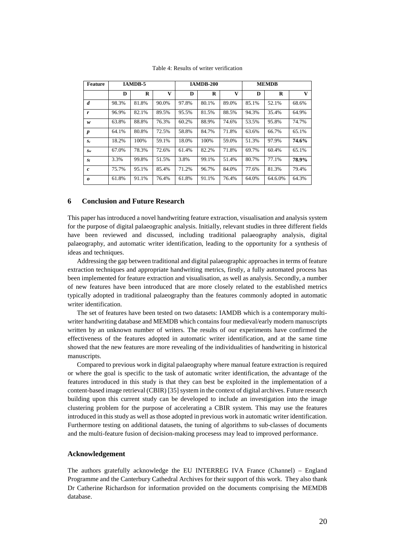<span id="page-20-7"></span><span id="page-20-2"></span><span id="page-20-1"></span><span id="page-20-0"></span>

| <b>Feature</b>   | <b>IAMDB-5</b> |       |       | <b>IAMDB-200</b> |       |       | <b>MEMDB</b> |         |              |
|------------------|----------------|-------|-------|------------------|-------|-------|--------------|---------|--------------|
|                  | D              | R     | V     | D                | R     | V     | D            | R       | $\mathbf{V}$ |
| d                | 98.3%          | 81.8% | 90.0% | 97.8%            | 80.1% | 89.0% | 85.1%        | 52.1%   | 68.6%        |
| r                | 96.9%          | 82.1% | 89.5% | 95.5%            | 81.5% | 88.5% | 94.3%        | 35.4%   | 64.9%        |
| w                | 63.8%          | 88.8% | 76.3% | 60.2%            | 88.9% | 74.6% | 53.5%        | 95.8%   | 74.7%        |
| $\boldsymbol{p}$ | 64.1%          | 80.8% | 72.5% | 58.8%            | 84.7% | 71.8% | 63.6%        | 66.7%   | 65.1%        |
| $S_c$            | 18.2%          | 100%  | 59.1% | 18.0%            | 100%  | 59.0% | 51.3%        | 97.9%   | 74.6%        |
| $S_w$            | 67.0%          | 78.3% | 72.6% | 61.4%            | 82.2% | 71.8% | 69.7%        | 60.4%   | 65.1%        |
| S1               | 3.3%           | 99.8% | 51.5% | 3.8%             | 99.1% | 51.4% | 80.7%        | 77.1%   | 78.9%        |
| $\mathcal C$     | 75.7%          | 95.1% | 85.4% | 71.2%            | 96.7% | 84.0% | 77.6%        | 81.3%   | 79.4%        |
| 0                | 61.8%          | 91.1% | 76.4% | 61.8%            | 91.1% | 76.4% | 64.0%        | 64.6.0% | 64.3%        |

Table 4: Results of writer verification

#### <span id="page-20-8"></span><span id="page-20-5"></span><span id="page-20-4"></span><span id="page-20-3"></span>**6 Conclusion and Future Research**

<span id="page-20-9"></span><span id="page-20-6"></span>This paper has introduced a novel handwriting feature extraction, visualisation and analysis system for the purpose of digital palaeographic analysis. Initially, relevant studies in three different fields have been reviewed and discussed, including traditional palaeography analysis, digital palaeography, and automatic writer identification, leading to the opportunity for a synthesis of ideas and techniques.

<span id="page-20-15"></span><span id="page-20-10"></span>Addressing the gap between traditional and digital palaeographic approachesin terms of feature extraction techniques and appropriate handwriting metrics, firstly, a fully automated process has been implemented for feature extraction and visualisation, as well as analysis. Secondly, a number of new features have been introduced that are more closely related to the established metrics typically adopted in traditional palaeography than the features commonly adopted in automatic writer identification.

<span id="page-20-11"></span>The set of features have been tested on two datasets: IAMDB which is a contemporary multiwriter handwriting database and MEMDB which contains four medieval/early modern manuscripts written by an unknown number of writers. The results of our experiments have confirmed the effectiveness of the features adopted in automatic writer identification, and at the same time showed that the new features are more revealing of the individualities of handwriting in historical manuscripts.

<span id="page-20-13"></span><span id="page-20-12"></span>Compared to previous work in digital palaeography where manual feature extraction is required or where the goal is specific to the task of automatic writer identification, the advantage of the features introduced in this study is that they can best be exploited in the implementation of a content-based image retrieval (CBIR) [\[35\]](#page-21-9) system in the context of digital archives. Future research building upon this current study can be developed to include an investigation into the image clustering problem for the purpose of accelerating a CBIR system. This may use the features introduced in this study as well as those adopted in previous work in automatic writer identification. Furthermore testing on additional datasets, the tuning of algorithms to sub-classes of documents and the multi-feature fusion of decision-making procesess may lead to improved performance.

#### **Acknowledgement**

<span id="page-20-14"></span>The authors gratefully acknowledge the EU INTERREG IVA France (Channel) – England Programme and the Canterbury Cathedral Archives for their support of this work. They also thank Dr Catherine Richardson for information provided on the documents comprising the MEMDB database.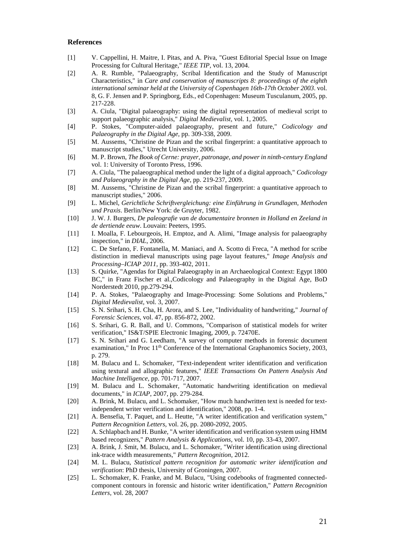#### <span id="page-21-0"></span>**References**

- <span id="page-21-1"></span>[1] V. Cappellini, H. Maitre, I. Pitas, and A. Piva, "Guest Editorial Special Issue on Image Processing for Cultural Heritage," *IEEE TIP,* vol. 13, 2004.
- <span id="page-21-3"></span><span id="page-21-2"></span>[2] A. R. Rumble, "Palaeography, Scribal Identification and the Study of Manuscript Characteristics," in *Care and conservation of manuscripts 8: proceedings of the eighth international seminar held at the University of Copenhagen 16th-17th October 2003*. vol. 8, G. F. Jensen and P. Springborg, Eds., ed Copenhagen: Museum Tusculanum, 2005, pp. 217-228.
- <span id="page-21-5"></span><span id="page-21-4"></span>[3] A. Ciula, "Digital palaeography: using the digital representation of medieval script to support palaeographic analysis," *Digital Medievalist,* vol. 1, 2005.
- <span id="page-21-6"></span>[4] P. Stokes, "Computer-aided palaeography, present and future," *Codicology and Palaeography in the Digital Age,* pp. 309-338, 2009.
- <span id="page-21-7"></span>[5] M. Aussems, "Christine de Pizan and the scribal fingerprint: a quantitative approach to manuscript studies," Utrecht University, 2006.
- <span id="page-21-8"></span>[6] M. P. Brown, *The Book of Cerne: prayer, patronage, and power in ninth-century England* vol. 1: University of Toronto Press, 1996.
- <span id="page-21-9"></span>[7] A. Ciula, "The palaeographical method under the light of a digital approach," *Codicology and Palaeography in the Digital Age,* pp. 219-237, 2009.
- [8] M. Aussems, "Christine de Pizan and the scribal fingerprint: a quantitative approach to manuscript studies," 2006.
- [9] L. Michel, *Gerichtliche Schriftvergleichung: eine Einführung in Grundlagen, Methoden und Praxis*. Berlin/New York: de Gruyter, 1982.
- [10] J. W. J. Burgers, *De paleografie van de documentaire bronnen in Holland en Zeeland in de dertiende eeuw*. Louvain: Peeters, 1995.
- [11] I. Moalla, F. Lebourgeois, H. Emptoz, and A. Alimi, "Image analysis for palaeography inspection," in *DIAL*, 2006.
- [12] C. De Stefano, F. Fontanella, M. Maniaci, and A. Scotto di Freca, "A method for scribe distinction in medieval manuscripts using page layout features," *Image Analysis and Processing–ICIAP 2011,* pp. 393-402, 2011.
- [13] S. Quirke, "Agendas for Digital Palaeography in an Archaeological Context: Egypt 1800 BC," in Franz Fischer et al.,Codicology and Palaeography in the Digital Age, BoD Norderstedt 2010, pp.279-294.
- [14] P. A. Stokes, "Palaeography and Image-Processing: Some Solutions and Problems," *Digital Medievalist,* vol. 3, 2007.
- [15] S. N. Srihari, S. H. Cha, H. Arora, and S. Lee, "Individuality of handwriting," *Journal of Forensic Sciences,* vol. 47, pp. 856-872, 2002.
- [16] S. Srihari, G. R. Ball, and U. Commons, "Comparison of statistical models for writer verification," IS&T/SPIE Electronic Imaging, 2009, p. 72470E.
- [17] S. N. Srihari and G. Leedham, "A survey of computer methods in forensic document examination," In Proc  $11<sup>th</sup>$  Conference of the International Graphanomics Society, 2003, p. 279.
- [18] M. Bulacu and L. Schomaker, "Text-independent writer identification and verification using textural and allographic features," *IEEE Transactions On Pattern Analysis And Machine Intelligence,* pp. 701-717, 2007.
- [19] M. Bulacu and L. Schomaker, "Automatic handwriting identification on medieval documents," in *ICIAP*, 2007, pp. 279-284.
- [20] A. Brink, M. Bulacu, and L. Schomaker, "How much handwritten text is needed for textindependent writer verification and identification," 2008, pp. 1-4.
- [21] A. Bensefia, T. Paquet, and L. Heutte, "A writer identification and verification system," *Pattern Recognition Letters,* vol. 26, pp. 2080-2092, 2005.
- [22] A. Schlapbach and H. Bunke, "A writer identification and verification system using HMM based recognizers," *Pattern Analysis & Applications,* vol. 10, pp. 33-43, 2007.
- [23] A. Brink, J. Smit, M. Bulacu, and L. Schomaker, "Writer identification using directional ink-trace width measurements," *Pattern Recognition,* 2012.
- [24] M. L. Bulacu, *Statistical pattern recognition for automatic writer identification and verification*: PhD thesis, University of Groningen, 2007.
- [25] L. Schomaker, K. Franke, and M. Bulacu, "Using codebooks of fragmented connectedcomponent contours in forensic and historic writer identification," *Pattern Recognition Letters,* vol. 28, 2007